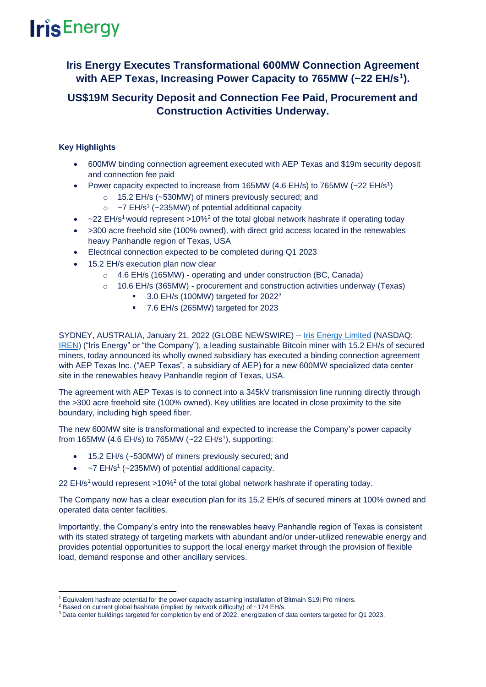# **IrisEnergy**

### **Iris Energy Executes Transformational 600MW Connection Agreement with AEP Texas, Increasing Power Capacity to 765MW (~22 EH/s<sup>1</sup> ).**

### **US\$19M Security Deposit and Connection Fee Paid, Procurement and Construction Activities Underway.**

### **Key Highlights**

- 600MW binding connection agreement executed with AEP Texas and \$19m security deposit and connection fee paid
- Power capacity expected to increase from 165MW (4.6 EH/s) to 765MW ( $\sim$ 22 EH/s<sup>1</sup>)
	- o 15.2 EH/s (~530MW) of miners previously secured; and
	- $\circ$  ~7 EH/s<sup>1</sup> (~235MW) of potential additional capacity
- $\sim$  22 EH/s<sup>1</sup> would represent  $>$ 10%<sup>2</sup> of the total global network hashrate if operating today
- >300 acre freehold site (100% owned), with direct grid access located in the renewables heavy Panhandle region of Texas, USA
- Electrical connection expected to be completed during Q1 2023
- 15.2 EH/s execution plan now clear
	- o 4.6 EH/s (165MW) operating and under construction (BC, Canada)
	- o 10.6 EH/s (365MW) procurement and construction activities underway (Texas)
		- 3.0 EH/s (100MW) targeted for 2022<sup>3</sup>
		- 7.6 EH/s (265MW) targeted for 2023

SYDNEY, AUSTRALIA, January 21, 2022 (GLOBE NEWSWIRE) -- [Iris Energy Limited](https://irisenergy.co/) (NASDAQ: [IREN\)](https://www.globenewswire.com/en/search/organization/IRIS%2520ENERGY%2520LIMITED?page=1) ("Iris Energy" or "the Company"), a leading sustainable Bitcoin miner with 15.2 EH/s of secured miners, today announced its wholly owned subsidiary has executed a binding connection agreement with AEP Texas Inc. ("AEP Texas", a subsidiary of AEP) for a new 600MW specialized data center site in the renewables heavy Panhandle region of Texas, USA.

The agreement with AEP Texas is to connect into a 345kV transmission line running directly through the >300 acre freehold site (100% owned). Key utilities are located in close proximity to the site boundary, including high speed fiber.

The new 600MW site is transformational and expected to increase the Company's power capacity from 165MW (4.6 EH/s) to 765MW (~22 EH/s<sup>1</sup>), supporting:

- 15.2 EH/s (~530MW) of miners previously secured; and
- $\sim$  7 EH/s<sup>1</sup> (~235MW) of potential additional capacity.

22 EH/s<sup>1</sup> would represent  $>10\%^2$  of the total global network hashrate if operating today.

The Company now has a clear execution plan for its 15.2 EH/s of secured miners at 100% owned and operated data center facilities.

Importantly, the Company's entry into the renewables heavy Panhandle region of Texas is consistent with its stated strategy of targeting markets with abundant and/or under-utilized renewable energy and provides potential opportunities to support the local energy market through the provision of flexible load, demand response and other ancillary services.

<sup>1</sup> Equivalent hashrate potential for the power capacity assuming installation of Bitmain S19j Pro miners.

<sup>&</sup>lt;sup>2</sup> Based on current global hashrate (implied by network difficulty) of ~174 EH/s.

<sup>3</sup> Data center buildings targeted for completion by end of 2022; energization of data centers targeted for Q1 2023.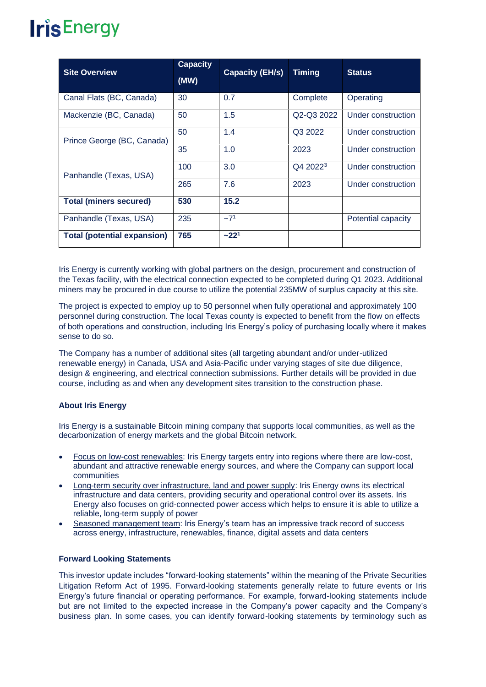# **IrisEnergy**

| <b>Site Overview</b>               | <b>Capacity</b><br>(MW) | <b>Capacity (EH/s)</b> | Timing     | <b>Status</b>      |
|------------------------------------|-------------------------|------------------------|------------|--------------------|
| Canal Flats (BC, Canada)           | 30                      | 0.7                    | Complete   | Operating          |
| Mackenzie (BC, Canada)             | 50                      | 1.5                    | Q2-Q3 2022 | Under construction |
| Prince George (BC, Canada)         | 50                      | 1.4                    | Q3 2022    | Under construction |
|                                    | 35                      | 1.0                    | 2023       | Under construction |
| Panhandle (Texas, USA)             | 100                     | 3.0                    | $Q42022^3$ | Under construction |
|                                    | 265                     | 7.6                    | 2023       | Under construction |
| <b>Total (miners secured)</b>      | 530                     | 15.2                   |            |                    |
| Panhandle (Texas, USA)             | 235                     | $-7^{1}$               |            | Potential capacity |
| <b>Total (potential expansion)</b> | 765                     | $-221$                 |            |                    |

Iris Energy is currently working with global partners on the design, procurement and construction of the Texas facility, with the electrical connection expected to be completed during Q1 2023. Additional miners may be procured in due course to utilize the potential 235MW of surplus capacity at this site.

The project is expected to employ up to 50 personnel when fully operational and approximately 100 personnel during construction. The local Texas county is expected to benefit from the flow on effects of both operations and construction, including Iris Energy's policy of purchasing locally where it makes sense to do so.

The Company has a number of additional sites (all targeting abundant and/or under-utilized renewable energy) in Canada, USA and Asia-Pacific under varying stages of site due diligence, design & engineering, and electrical connection submissions. Further details will be provided in due course, including as and when any development sites transition to the construction phase.

#### **About Iris Energy**

Iris Energy is a sustainable Bitcoin mining company that supports local communities, as well as the decarbonization of energy markets and the global Bitcoin network.

- Focus on low-cost renewables: Iris Energy targets entry into regions where there are low-cost, abundant and attractive renewable energy sources, and where the Company can support local communities
- Long-term security over infrastructure, land and power supply: Iris Energy owns its electrical infrastructure and data centers, providing security and operational control over its assets. Iris Energy also focuses on grid-connected power access which helps to ensure it is able to utilize a reliable, long-term supply of power
- Seasoned management team: Iris Energy's team has an impressive track record of success across energy, infrastructure, renewables, finance, digital assets and data centers

#### **Forward Looking Statements**

This investor update includes "forward-looking statements" within the meaning of the Private Securities Litigation Reform Act of 1995. Forward-looking statements generally relate to future events or Iris Energy's future financial or operating performance. For example, forward-looking statements include but are not limited to the expected increase in the Company's power capacity and the Company's business plan. In some cases, you can identify forward-looking statements by terminology such as